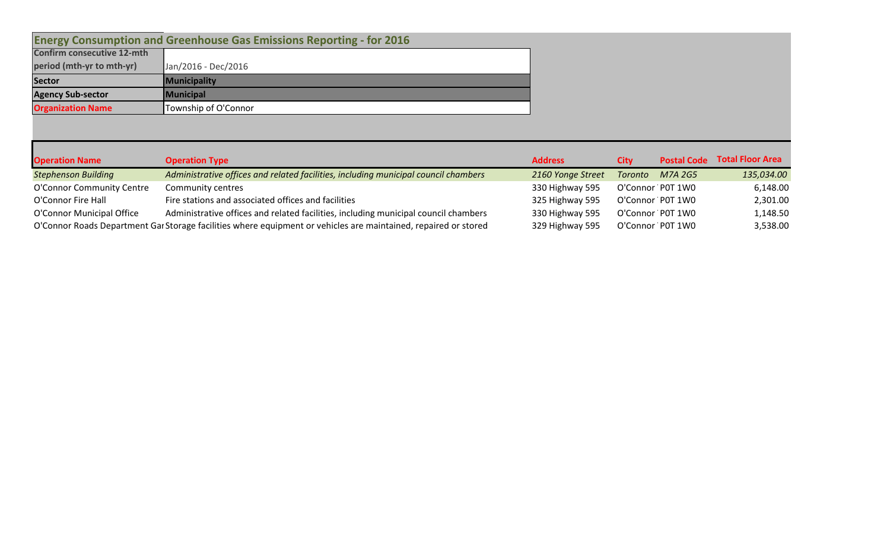|                                    | <b>Energy Consumption and Greenhouse Gas Emissions Reporting - for 2016</b> |
|------------------------------------|-----------------------------------------------------------------------------|
| <b>Confirm consecutive 12-mth</b>  |                                                                             |
| period (mth-yr to mth-yr)          | Jan/2016 - Dec/2016                                                         |
|                                    |                                                                             |
|                                    | Municipality                                                                |
| Sector<br><b>Agency Sub-sector</b> | Municipal                                                                   |

| <b>Operation Name</b>      | <b>Operation Type</b>                                                                                           | <b>Address</b>    | City    | <b>Postal Code</b> | <b>Total Floor Area</b> |
|----------------------------|-----------------------------------------------------------------------------------------------------------------|-------------------|---------|--------------------|-------------------------|
| <b>Stephenson Building</b> | Administrative offices and related facilities, including municipal council chambers                             | 2160 Yonge Street | Toronto | M7A 2G5            | 135,034.00              |
| O'Connor Community Centre  | Community centres                                                                                               | 330 Highway 595   |         | O'Connor P0T 1W0   | 6,148.00                |
| O'Connor Fire Hall         | Fire stations and associated offices and facilities                                                             | 325 Highway 595   |         | O'Connor P0T 1W0   | 2,301.00                |
| O'Connor Municipal Office  | Administrative offices and related facilities, including municipal council chambers                             | 330 Highway 595   |         | O'Connor P0T 1W0   | 1,148.50                |
|                            | O'Connor Roads Department Gar Storage facilities where equipment or vehicles are maintained, repaired or stored | 329 Highway 595   |         | O'Connor P0T 1W0   | 3,538.00                |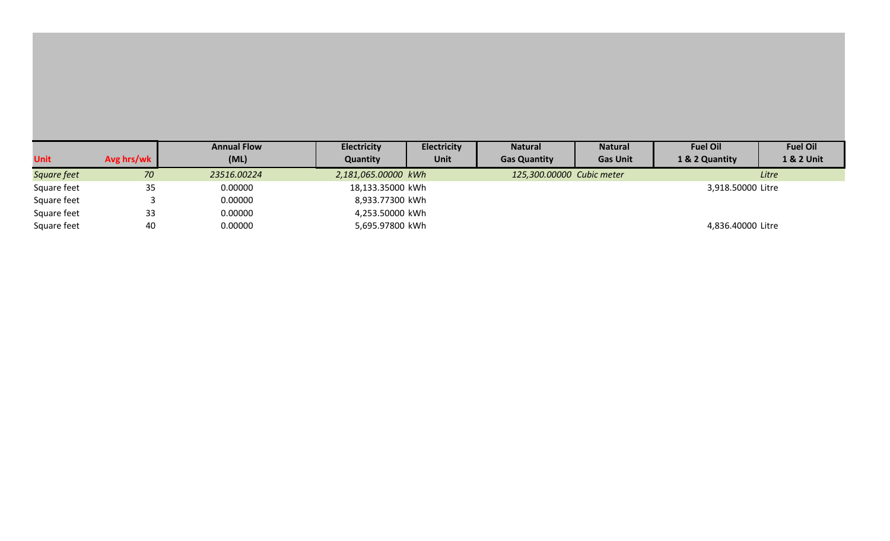|             |            | <b>Annual Flow</b> | <b>Electricity</b>  | <b>Electricity</b> | <b>Natural</b>            | <b>Natural</b>  | <b>Fuel Oil</b>   | <b>Fuel Oil</b> |
|-------------|------------|--------------------|---------------------|--------------------|---------------------------|-----------------|-------------------|-----------------|
| <b>Unit</b> | Avg hrs/wk | (ML)               | Quantity            | Unit               | <b>Gas Quantity</b>       | <b>Gas Unit</b> | 1 & 2 Quantity    | 1 & 2 Unit      |
| Square feet | 70         | 23516.00224        | 2,181,065.00000 kWh |                    | 125,300.00000 Cubic meter |                 |                   | Litre           |
| Square feet | 35         | 0.00000            | 18,133.35000 kWh    |                    |                           |                 | 3,918.50000 Litre |                 |
| Square feet |            | 0.00000            | 8,933.77300 kWh     |                    |                           |                 |                   |                 |
| Square feet | 33         | 0.00000            | 4,253.50000 kWh     |                    |                           |                 |                   |                 |
| Square feet | 40         | 0.00000            | 5,695.97800 kWh     |                    |                           |                 | 4,836.40000 Litre |                 |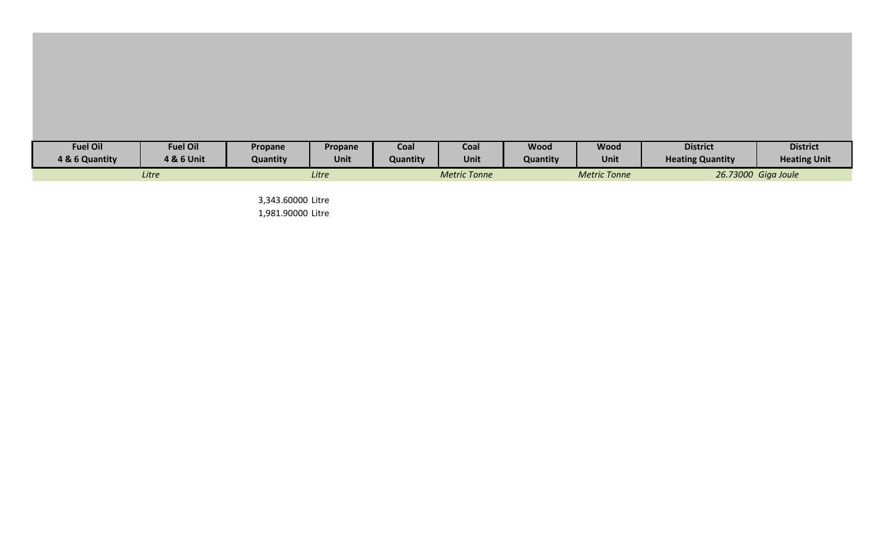| <b>Fuel Oil</b> | <b>Fuel Oil</b> | <b>Propane</b> | Propane | Coal            | Coal                | <b>Wood</b>     | <b>Wood</b>         | <b>District</b>         | <b>District</b>     |
|-----------------|-----------------|----------------|---------|-----------------|---------------------|-----------------|---------------------|-------------------------|---------------------|
| 4 & 6 Quantity  | 4 & 6 Unit      | Quantity       | Unit    | <b>Quantity</b> | Unit                | <b>Quantity</b> | <b>Unit</b>         | <b>Heating Quantity</b> | <b>Heating Unit</b> |
|                 | Litre           |                | Litre   |                 | <b>Metric Tonne</b> |                 | <b>Metric Tonne</b> |                         | 26.73000 Giga Joule |

3,343.60000 Litre 1,981.90000 Litre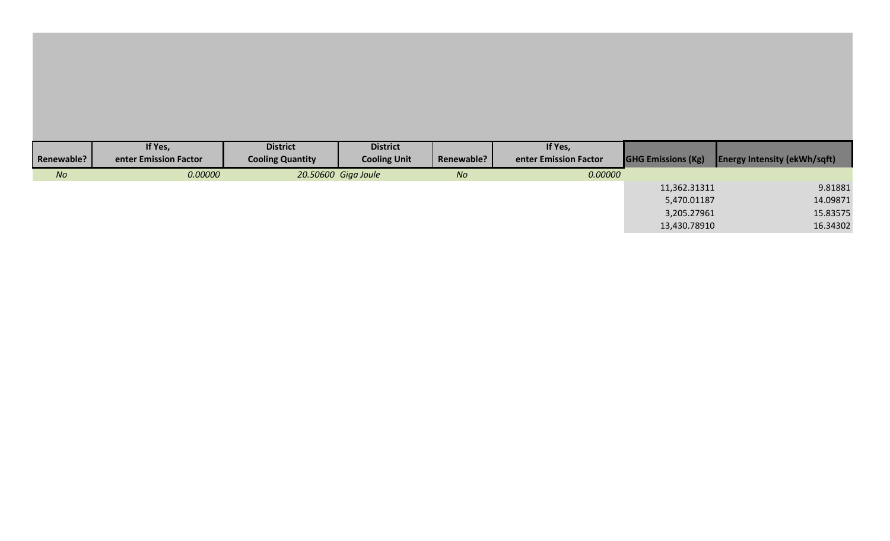|                   | If Yes,               | <b>District</b>         | <b>District</b>     |            | If Yes,               |                           |                                     |
|-------------------|-----------------------|-------------------------|---------------------|------------|-----------------------|---------------------------|-------------------------------------|
| <b>Renewable?</b> | enter Emission Factor | <b>Cooling Quantity</b> | <b>Cooling Unit</b> | Renewable? | enter Emission Factor | <b>GHG Emissions (Kg)</b> | <b>Energy Intensity (ekWh/sqft)</b> |
| No                | 0.00000               |                         | 20.50600 Giga Joule | No         | 0.00000               |                           |                                     |
|                   |                       |                         |                     |            |                       | 11,362.31311              | 9.81881                             |
|                   |                       |                         |                     |            |                       | 5,470.01187               | 14.09871                            |
|                   |                       |                         |                     |            |                       | 3,205.27961               | 15.83575                            |
|                   |                       |                         |                     |            |                       | 13,430.78910              | 16.34302                            |